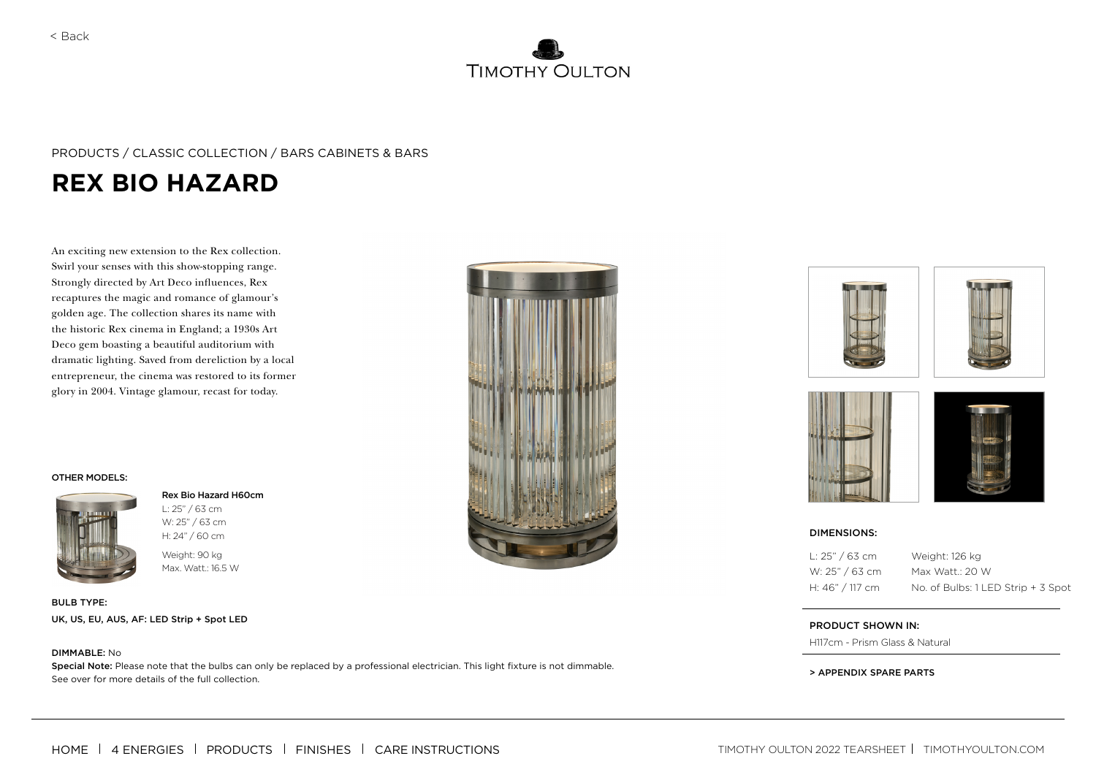

## PRODUCTS / CLASSIC COLLECTION / BARS CABINETS & BARS

# **REX BIO HAZARD**

An exciting new extension to the Rex collection. Swirl your senses with this show-stopping range. Strongly directed by Art Deco influences, Rex recaptures the magic and romance of glamour's golden age. The collection shares its name with the historic Rex cinema in England; a 1930s Art Deco gem boasting a beautiful auditorium with dramatic lighting. Saved from dereliction by a local entrepreneur, the cinema was restored to its former glory in 2004. Vintage glamour, recast for today.

#### OTHER MODELS:



#### Rex Bio Hazard H60cm

Weight: 90 kg Max. Watt.: 16.5 W L: 25" / 63 cm W: 25" / 63 cm

BULB TYPE: UK, US, EU, AUS, AF: LED Strip + Spot LED

#### DIMMABLE: No

Special Note: Please note that the bulbs can only be replaced by a professional electrician. This light fixture is not dimmable. See over for more details of the full collection.









 $1:25" / 63 cm$ W: 25" / 63 cm H: 46" / 117 cm

Weight: 126 kg Max Watt.: 20 W No. of Bulbs: 1 LED Strip + 3 Spot

#### PRODUCT SHOWN IN:

H117cm - Prism Glass & Natural

> APPENDIX SPARE PARTS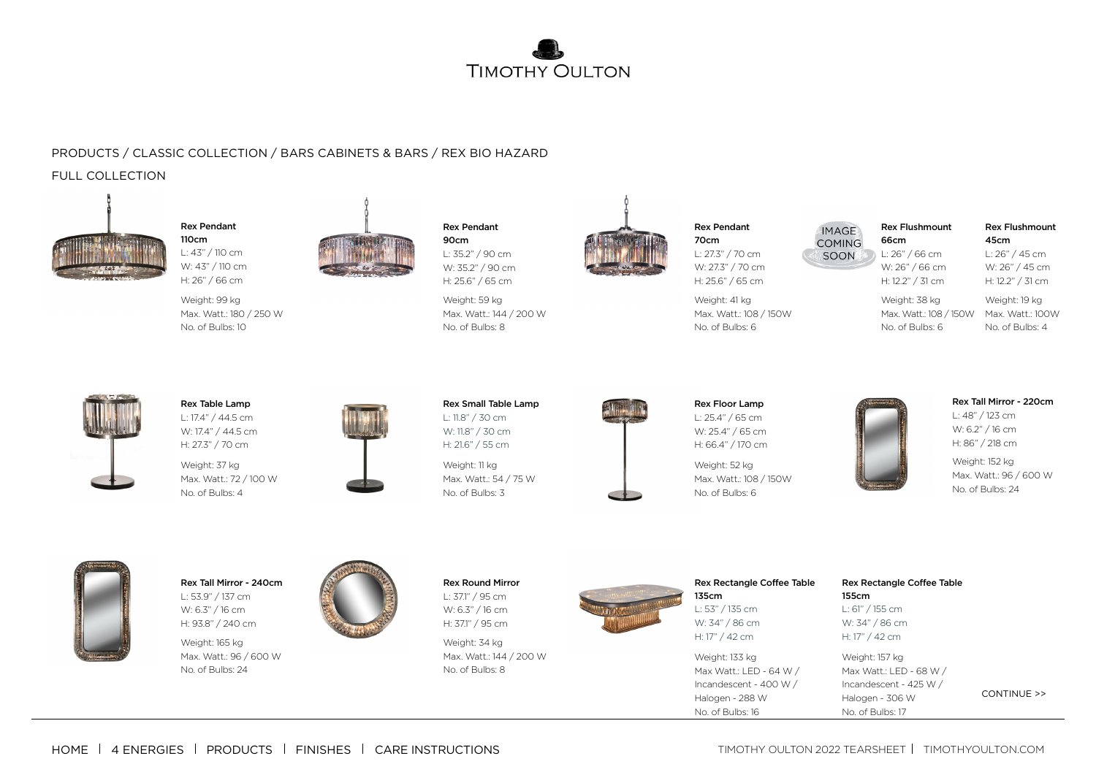

# PRODUCTS / CLASSIC COLLECTION / BARS CABINETS & BARS / REX BIO HAZARD

# FULL COLLECTION



Rex Pendant 110cm L: 43" / 110 cm W: 43" / 110 cm H: 26" / 66 cm

Weight: 99 kg Max. Watt.: 180 / 250 W No. of Bulbs: 10





W: 35.2" / 90 cm H: 25.6" / 65 cm Weight: 59 kg

Rex Pendant 90cm L: 35.2" / 90 cm

Max. Watt.: 144 / 200 W No. of Bulbs: 8



70cm L: 27.3" / 70 cm W: 27.3" / 70 cm H: 25.6" / 65 cm

Rex Pendant

Weight: 41 kg Max. Watt.: 108 / 150W No. of Bulbs: 6

Rex Flushmount **IMAGE COMING** 66cm SOON

L: 26" / 66 cm W: 26" / 66 cm H: 12.2" / 31 cm

W: 26" / 45 cm H: 12.2" / 31 cm Weight: 19 kg

45cm L: 26" / 45 cm

Rex Flushmount

Weight: 38 kg Max. Watt.: 108 / 150W Max. Watt.: 100W No. of Bulbs: 6

No. of Bulbs: 4



Rex Table Lamp L: 17.4" / 44.5 cm W: 17.4" / 44.5 cm H: 27.3" / 70 cm

Weight: 37 kg Max. Watt.: 72 / 100 W No. of Bulbs: 4





Weight: 11 kg Max. Watt.: 54 / 75 W No. of Bulbs: 3



Rex Floor Lamp L: 25.4" / 65 cm W: 25.4" / 65 cm H: 66.4" / 170 cm

Weight: 52 kg Max. Watt.: 108 / 150W No. of Bulbs: 6



Rex Tall Mirror - 220cm

 $1:48" / 123$  cm W: 6.2" / 16 cm H: 86" / 218 cm

Weight: 152 kg Max. Watt.: 96 / 600 W No. of Bulbs: 24



Rex Tall Mirror - 240cm L: 53.9" / 137 cm W: 6.3" / 16 cm H: 93.8" / 240 cm

Weight: 165 kg Max. Watt.: 96 / 600 W No. of Bulbs: 24



Rex Round Mirror L: 37.1" / 95 cm W: 6.3" / 16 cm H: 37.1" / 95 cm

Weight: 34 kg Max. Watt.: 144 / 200 W No. of Bulbs: 8



135cm L: 53" / 135 cm W: 34" / 86 cm H: 17" / 42 cm

Weight: 133 kg Max Watt.: LED - 64 W / Incandescent - 400 W / Halogen - 288 W No. of Bulbs: 16

Rex Rectangle Coffee Table

### Rex Rectangle Coffee Table 155cm L: 61" / 155 cm W: 34" / 86 cm H: 17" / 42 cm

Weight: 157 kg Max Watt.: LED - 68 W / Incandescent - 425 W /

CONTINUE >>

Halogen - 306 W No. of Bulbs: 17